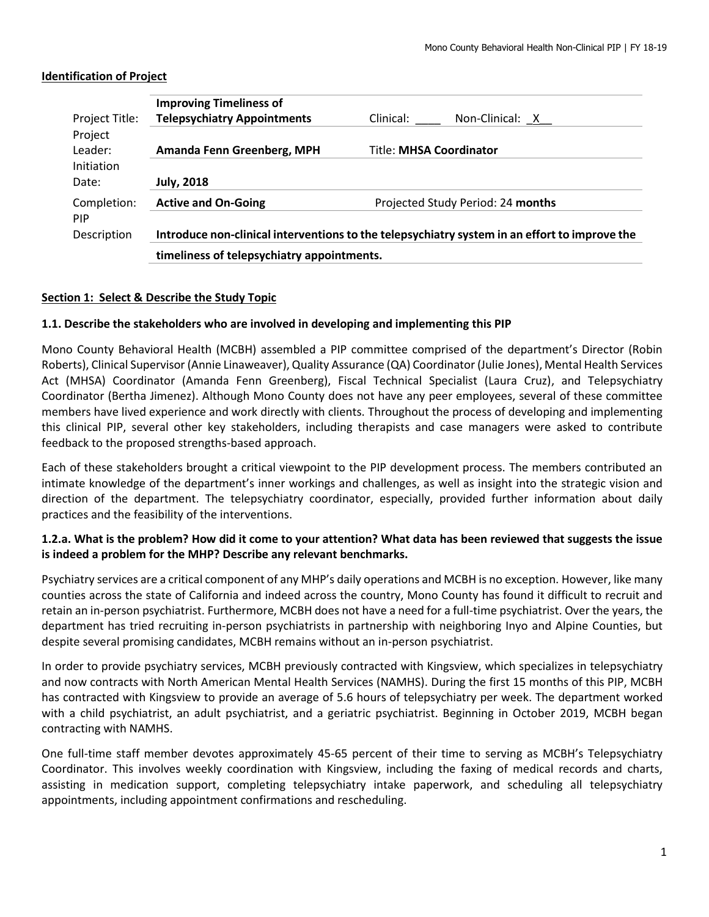| Project Title:      | <b>Improving Timeliness of</b><br><b>Telepsychiatry Appointments</b><br>Clinical:<br>Non-Clinical: $X$ |                                |  |  |  |  |
|---------------------|--------------------------------------------------------------------------------------------------------|--------------------------------|--|--|--|--|
| Project<br>Leader:  | Amanda Fenn Greenberg, MPH                                                                             | <b>Title: MHSA Coordinator</b> |  |  |  |  |
| Initiation<br>Date: | <b>July, 2018</b>                                                                                      |                                |  |  |  |  |
| Completion:<br>PIP  | Projected Study Period: 24 months<br><b>Active and On-Going</b>                                        |                                |  |  |  |  |
| Description         | Introduce non-clinical interventions to the telepsychiatry system in an effort to improve the          |                                |  |  |  |  |
|                     | timeliness of telepsychiatry appointments.                                                             |                                |  |  |  |  |

#### **Identification of Project**

#### **Section 1: Select & Describe the Study Topic**

#### **1.1. Describe the stakeholders who are involved in developing and implementing this PIP**

Mono County Behavioral Health (MCBH) assembled a PIP committee comprised of the department's Director (Robin Roberts), Clinical Supervisor (Annie Linaweaver), Quality Assurance (QA) Coordinator (Julie Jones), Mental Health Services Act (MHSA) Coordinator (Amanda Fenn Greenberg), Fiscal Technical Specialist (Laura Cruz), and Telepsychiatry Coordinator (Bertha Jimenez). Although Mono County does not have any peer employees, several of these committee members have lived experience and work directly with clients. Throughout the process of developing and implementing this clinical PIP, several other key stakeholders, including therapists and case managers were asked to contribute feedback to the proposed strengths-based approach.

Each of these stakeholders brought a critical viewpoint to the PIP development process. The members contributed an intimate knowledge of the department's inner workings and challenges, as well as insight into the strategic vision and direction of the department. The telepsychiatry coordinator, especially, provided further information about daily practices and the feasibility of the interventions.

### **1.2.a. What is the problem? How did it come to your attention? What data has been reviewed that suggests the issue is indeed a problem for the MHP? Describe any relevant benchmarks.**

Psychiatry services are a critical component of any MHP's daily operations and MCBH is no exception. However, like many counties across the state of California and indeed across the country, Mono County has found it difficult to recruit and retain an in-person psychiatrist. Furthermore, MCBH does not have a need for a full-time psychiatrist. Over the years, the department has tried recruiting in-person psychiatrists in partnership with neighboring Inyo and Alpine Counties, but despite several promising candidates, MCBH remains without an in-person psychiatrist.

In order to provide psychiatry services, MCBH previously contracted with Kingsview, which specializes in telepsychiatry and now contracts with North American Mental Health Services (NAMHS). During the first 15 months of this PIP, MCBH has contracted with Kingsview to provide an average of 5.6 hours of telepsychiatry per week. The department worked with a child psychiatrist, an adult psychiatrist, and a geriatric psychiatrist. Beginning in October 2019, MCBH began contracting with NAMHS.

One full-time staff member devotes approximately 45-65 percent of their time to serving as MCBH's Telepsychiatry Coordinator. This involves weekly coordination with Kingsview, including the faxing of medical records and charts, assisting in medication support, completing telepsychiatry intake paperwork, and scheduling all telepsychiatry appointments, including appointment confirmations and rescheduling.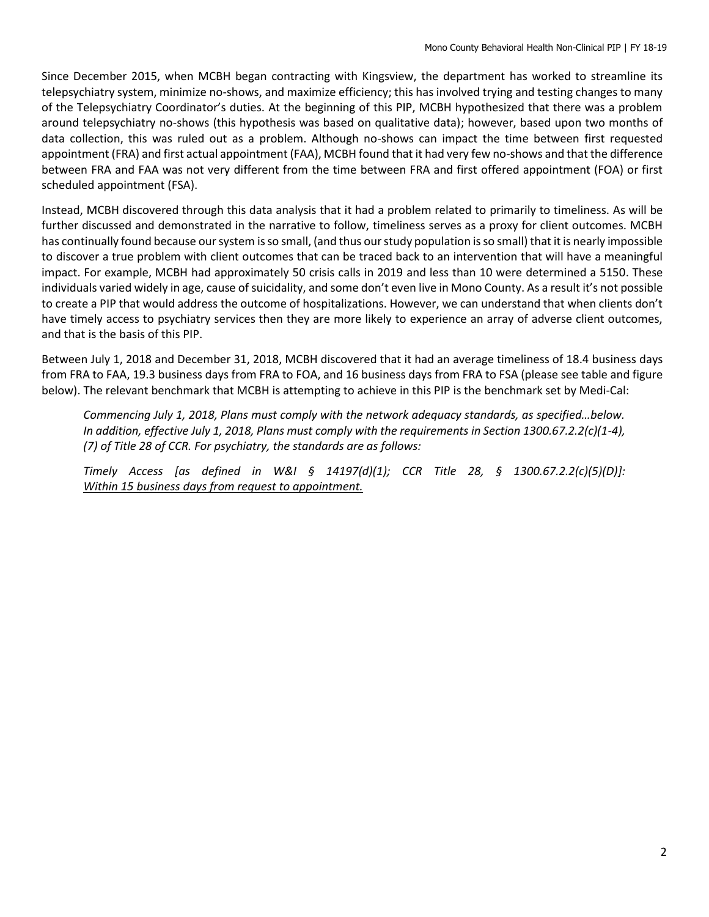Since December 2015, when MCBH began contracting with Kingsview, the department has worked to streamline its telepsychiatry system, minimize no-shows, and maximize efficiency; this has involved trying and testing changes to many of the Telepsychiatry Coordinator's duties. At the beginning of this PIP, MCBH hypothesized that there was a problem around telepsychiatry no-shows (this hypothesis was based on qualitative data); however, based upon two months of data collection, this was ruled out as a problem. Although no-shows can impact the time between first requested appointment (FRA) and first actual appointment (FAA), MCBH found that it had very few no-shows and that the difference between FRA and FAA was not very different from the time between FRA and first offered appointment (FOA) or first scheduled appointment (FSA).

Instead, MCBH discovered through this data analysis that it had a problem related to primarily to timeliness. As will be further discussed and demonstrated in the narrative to follow, timeliness serves as a proxy for client outcomes. MCBH has continually found because our system is so small, (and thus our study population is so small) that it is nearly impossible to discover a true problem with client outcomes that can be traced back to an intervention that will have a meaningful impact. For example, MCBH had approximately 50 crisis calls in 2019 and less than 10 were determined a 5150. These individuals varied widely in age, cause of suicidality, and some don't even live in Mono County. As a result it's not possible to create a PIP that would address the outcome of hospitalizations. However, we can understand that when clients don't have timely access to psychiatry services then they are more likely to experience an array of adverse client outcomes, and that is the basis of this PIP.

Between July 1, 2018 and December 31, 2018, MCBH discovered that it had an average timeliness of 18.4 business days from FRA to FAA, 19.3 business days from FRA to FOA, and 16 business days from FRA to FSA (please see table and figure below). The relevant benchmark that MCBH is attempting to achieve in this PIP is the benchmark set by Medi-Cal:

*Commencing July 1, 2018, Plans must comply with the network adequacy standards, as specified…below. In addition, effective July 1, 2018, Plans must comply with the requirements in Section 1300.67.2.2(c)(1-4), (7) of Title 28 of CCR. For psychiatry, the standards are as follows:* 

*Timely Access [as defined in W&I § 14197(d)(1); CCR Title 28, § 1300.67.2.2(c)(5)(D)]: Within 15 business days from request to appointment.*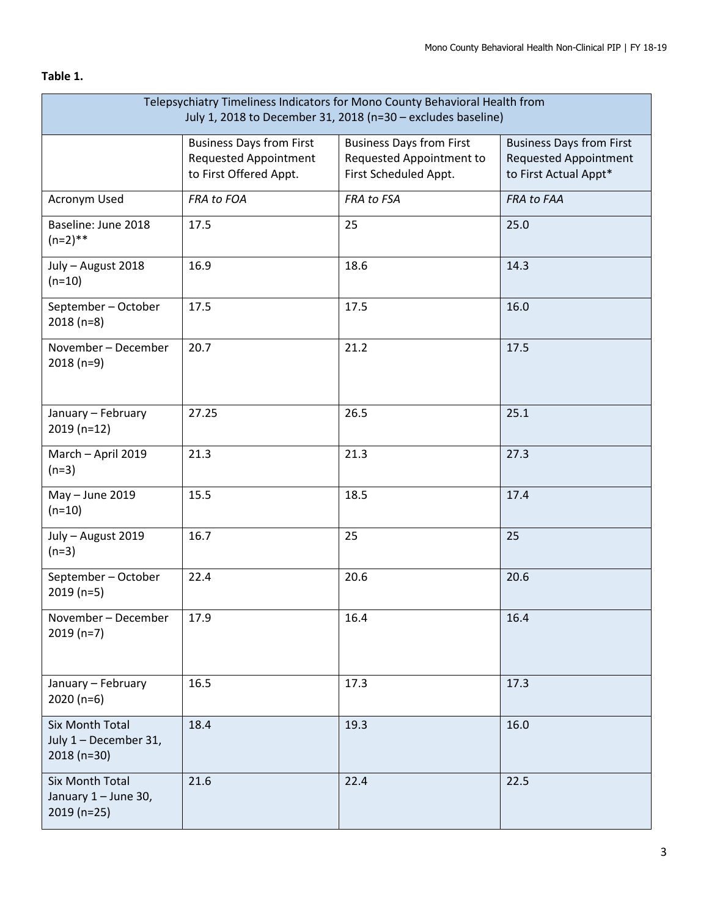# **Table 1.**

| Telepsychiatry Timeliness Indicators for Mono County Behavioral Health from<br>July 1, 2018 to December 31, 2018 (n=30 - excludes baseline) |                                                                                           |                                                                                      |                                                                                          |  |  |
|---------------------------------------------------------------------------------------------------------------------------------------------|-------------------------------------------------------------------------------------------|--------------------------------------------------------------------------------------|------------------------------------------------------------------------------------------|--|--|
|                                                                                                                                             | <b>Business Days from First</b><br><b>Requested Appointment</b><br>to First Offered Appt. | <b>Business Days from First</b><br>Requested Appointment to<br>First Scheduled Appt. | <b>Business Days from First</b><br><b>Requested Appointment</b><br>to First Actual Appt* |  |  |
| Acronym Used                                                                                                                                | FRA to FOA                                                                                | FRA to FSA                                                                           | FRA to FAA                                                                               |  |  |
| Baseline: June 2018<br>$(n=2)$ **                                                                                                           | 17.5                                                                                      | 25                                                                                   | 25.0                                                                                     |  |  |
| July - August 2018<br>$(n=10)$                                                                                                              | 16.9                                                                                      | 18.6                                                                                 | 14.3                                                                                     |  |  |
| September - October<br>$2018(n=8)$                                                                                                          | 17.5                                                                                      | 17.5                                                                                 | 16.0                                                                                     |  |  |
| November - December<br>$2018(n=9)$                                                                                                          | 20.7                                                                                      | 21.2                                                                                 | 17.5                                                                                     |  |  |
| January - February<br>$2019(n=12)$                                                                                                          | 27.25                                                                                     | 26.5                                                                                 | 25.1                                                                                     |  |  |
| March - April 2019<br>$(n=3)$                                                                                                               | 21.3                                                                                      | 21.3                                                                                 | 27.3                                                                                     |  |  |
| May - June 2019<br>$(n=10)$                                                                                                                 | 15.5                                                                                      | 18.5                                                                                 | 17.4                                                                                     |  |  |
| July - August 2019<br>$(n=3)$                                                                                                               | 16.7                                                                                      | 25                                                                                   | 25                                                                                       |  |  |
| September - October<br>$2019(n=5)$                                                                                                          | 22.4                                                                                      | 20.6                                                                                 | 20.6                                                                                     |  |  |
| November - December<br>$2019(n=7)$                                                                                                          | 17.9                                                                                      | 16.4                                                                                 | 16.4                                                                                     |  |  |
| January - February<br>$2020(n=6)$                                                                                                           | 16.5                                                                                      | 17.3                                                                                 | 17.3                                                                                     |  |  |
| Six Month Total<br>July 1 - December 31,<br>2018 (n=30)                                                                                     | 18.4                                                                                      | 19.3                                                                                 | 16.0                                                                                     |  |  |
| Six Month Total<br>January 1 - June 30,<br>$2019(n=25)$                                                                                     | 21.6                                                                                      | 22.4                                                                                 | 22.5                                                                                     |  |  |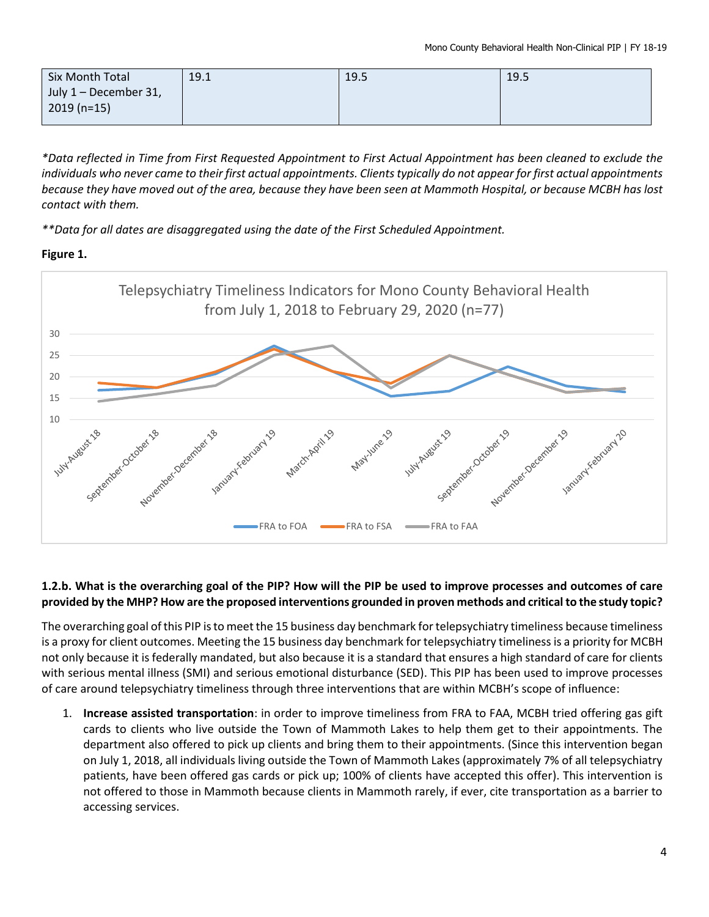| Six Month Total       | 19.1 | 19.5 | 19.5 |
|-----------------------|------|------|------|
| July 1 – December 31, |      |      |      |
| $2019(n=15)$          |      |      |      |

*\*Data reflected in Time from First Requested Appointment to First Actual Appointment has been cleaned to exclude the individuals who never came to their first actual appointments. Clients typically do not appear for first actual appointments because they have moved out of the area, because they have been seen at Mammoth Hospital, or because MCBH has lost contact with them.*

*\*\*Data for all dates are disaggregated using the date of the First Scheduled Appointment.*

# **Figure 1.**



# **1.2.b. What is the overarching goal of the PIP? How will the PIP be used to improve processes and outcomes of care provided by the MHP? How are the proposed interventions grounded in proven methods and critical to the study topic?**

The overarching goal of this PIP is to meet the 15 business day benchmark for telepsychiatry timeliness because timeliness is a proxy for client outcomes. Meeting the 15 business day benchmark for telepsychiatry timelinessis a priority for MCBH not only because it is federally mandated, but also because it is a standard that ensures a high standard of care for clients with serious mental illness (SMI) and serious emotional disturbance (SED). This PIP has been used to improve processes of care around telepsychiatry timeliness through three interventions that are within MCBH's scope of influence:

1. **Increase assisted transportation**: in order to improve timeliness from FRA to FAA, MCBH tried offering gas gift cards to clients who live outside the Town of Mammoth Lakes to help them get to their appointments. The department also offered to pick up clients and bring them to their appointments. (Since this intervention began on July 1, 2018, all individuals living outside the Town of Mammoth Lakes (approximately 7% of all telepsychiatry patients, have been offered gas cards or pick up; 100% of clients have accepted this offer). This intervention is not offered to those in Mammoth because clients in Mammoth rarely, if ever, cite transportation as a barrier to accessing services.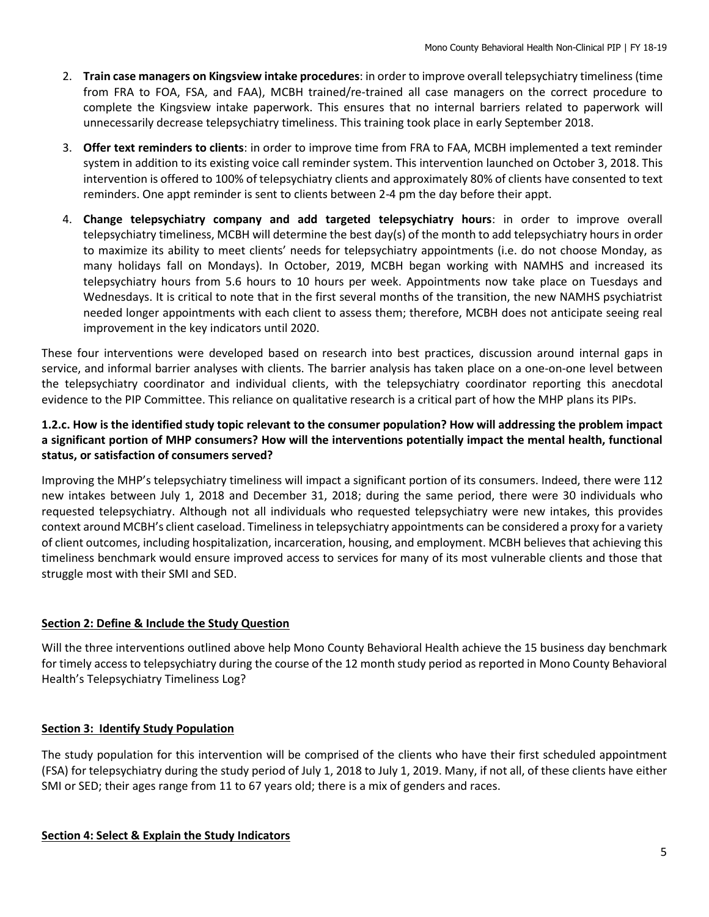- 2. **Train case managers on Kingsview intake procedures**: in order to improve overall telepsychiatry timeliness (time from FRA to FOA, FSA, and FAA), MCBH trained/re-trained all case managers on the correct procedure to complete the Kingsview intake paperwork. This ensures that no internal barriers related to paperwork will unnecessarily decrease telepsychiatry timeliness. This training took place in early September 2018.
- 3. **Offer text reminders to clients**: in order to improve time from FRA to FAA, MCBH implemented a text reminder system in addition to its existing voice call reminder system. This intervention launched on October 3, 2018. This intervention is offered to 100% of telepsychiatry clients and approximately 80% of clients have consented to text reminders. One appt reminder is sent to clients between 2-4 pm the day before their appt.
- 4. **Change telepsychiatry company and add targeted telepsychiatry hours**: in order to improve overall telepsychiatry timeliness, MCBH will determine the best day(s) of the month to add telepsychiatry hours in order to maximize its ability to meet clients' needs for telepsychiatry appointments (i.e. do not choose Monday, as many holidays fall on Mondays). In October, 2019, MCBH began working with NAMHS and increased its telepsychiatry hours from 5.6 hours to 10 hours per week. Appointments now take place on Tuesdays and Wednesdays. It is critical to note that in the first several months of the transition, the new NAMHS psychiatrist needed longer appointments with each client to assess them; therefore, MCBH does not anticipate seeing real improvement in the key indicators until 2020.

These four interventions were developed based on research into best practices, discussion around internal gaps in service, and informal barrier analyses with clients. The barrier analysis has taken place on a one-on-one level between the telepsychiatry coordinator and individual clients, with the telepsychiatry coordinator reporting this anecdotal evidence to the PIP Committee. This reliance on qualitative research is a critical part of how the MHP plans its PIPs.

# **1.2.c. How is the identified study topic relevant to the consumer population? How will addressing the problem impact a significant portion of MHP consumers? How will the interventions potentially impact the mental health, functional status, or satisfaction of consumers served?**

Improving the MHP's telepsychiatry timeliness will impact a significant portion of its consumers. Indeed, there were 112 new intakes between July 1, 2018 and December 31, 2018; during the same period, there were 30 individuals who requested telepsychiatry. Although not all individuals who requested telepsychiatry were new intakes, this provides context around MCBH's client caseload. Timeliness in telepsychiatry appointments can be considered a proxy for a variety of client outcomes, including hospitalization, incarceration, housing, and employment. MCBH believes that achieving this timeliness benchmark would ensure improved access to services for many of its most vulnerable clients and those that struggle most with their SMI and SED.

# **Section 2: Define & Include the Study Question**

Will the three interventions outlined above help Mono County Behavioral Health achieve the 15 business day benchmark for timely access to telepsychiatry during the course of the 12 month study period as reported in Mono County Behavioral Health's Telepsychiatry Timeliness Log?

# **Section 3: Identify Study Population**

The study population for this intervention will be comprised of the clients who have their first scheduled appointment (FSA) for telepsychiatry during the study period of July 1, 2018 to July 1, 2019. Many, if not all, of these clients have either SMI or SED; their ages range from 11 to 67 years old; there is a mix of genders and races.

### **Section 4: Select & Explain the Study Indicators**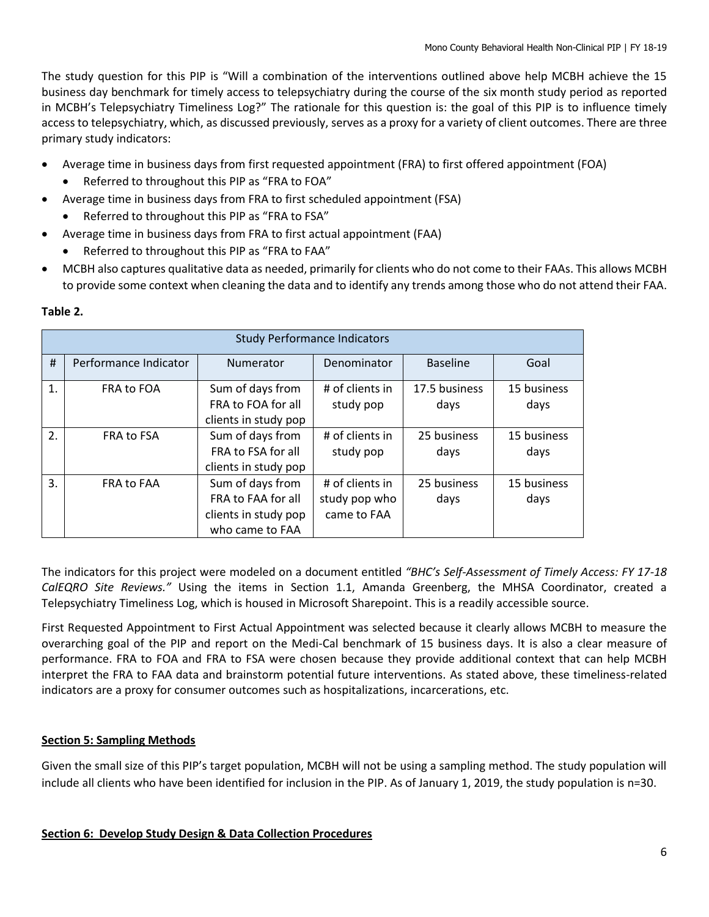The study question for this PIP is "Will a combination of the interventions outlined above help MCBH achieve the 15 business day benchmark for timely access to telepsychiatry during the course of the six month study period as reported in MCBH's Telepsychiatry Timeliness Log?" The rationale for this question is: the goal of this PIP is to influence timely access to telepsychiatry, which, as discussed previously, serves as a proxy for a variety of client outcomes. There are three primary study indicators:

- Average time in business days from first requested appointment (FRA) to first offered appointment (FOA)
	- Referred to throughout this PIP as "FRA to FOA"
- Average time in business days from FRA to first scheduled appointment (FSA)
	- Referred to throughout this PIP as "FRA to FSA"
- Average time in business days from FRA to first actual appointment (FAA)
	- Referred to throughout this PIP as "FRA to FAA"
- MCBH also captures qualitative data as needed, primarily for clients who do not come to their FAAs. This allows MCBH to provide some context when cleaning the data and to identify any trends among those who do not attend their FAA.

|    | <b>Study Performance Indicators</b> |                                                                                   |                                                 |                       |                     |  |  |  |
|----|-------------------------------------|-----------------------------------------------------------------------------------|-------------------------------------------------|-----------------------|---------------------|--|--|--|
| #  | Performance Indicator               | <b>Numerator</b>                                                                  | Denominator                                     | <b>Baseline</b>       | Goal                |  |  |  |
| 1. | FRA to FOA                          | Sum of days from<br>FRA to FOA for all<br>clients in study pop                    | # of clients in<br>study pop                    | 17.5 business<br>days | 15 business<br>days |  |  |  |
| 2. | <b>FRA to FSA</b>                   | Sum of days from<br>FRA to FSA for all<br>clients in study pop                    | # of clients in<br>study pop                    | 25 business<br>days   | 15 business<br>days |  |  |  |
| 3. | <b>FRA to FAA</b>                   | Sum of days from<br>FRA to FAA for all<br>clients in study pop<br>who came to FAA | # of clients in<br>study pop who<br>came to FAA | 25 business<br>days   | 15 business<br>days |  |  |  |

### **Table 2.**

The indicators for this project were modeled on a document entitled *"BHC's Self-Assessment of Timely Access: FY 17-18 CalEQRO Site Reviews."* Using the items in Section 1.1, Amanda Greenberg, the MHSA Coordinator, created a Telepsychiatry Timeliness Log, which is housed in Microsoft Sharepoint. This is a readily accessible source.

First Requested Appointment to First Actual Appointment was selected because it clearly allows MCBH to measure the overarching goal of the PIP and report on the Medi-Cal benchmark of 15 business days. It is also a clear measure of performance. FRA to FOA and FRA to FSA were chosen because they provide additional context that can help MCBH interpret the FRA to FAA data and brainstorm potential future interventions. As stated above, these timeliness-related indicators are a proxy for consumer outcomes such as hospitalizations, incarcerations, etc.

# **Section 5: Sampling Methods**

Given the small size of this PIP's target population, MCBH will not be using a sampling method. The study population will include all clients who have been identified for inclusion in the PIP. As of January 1, 2019, the study population is n=30.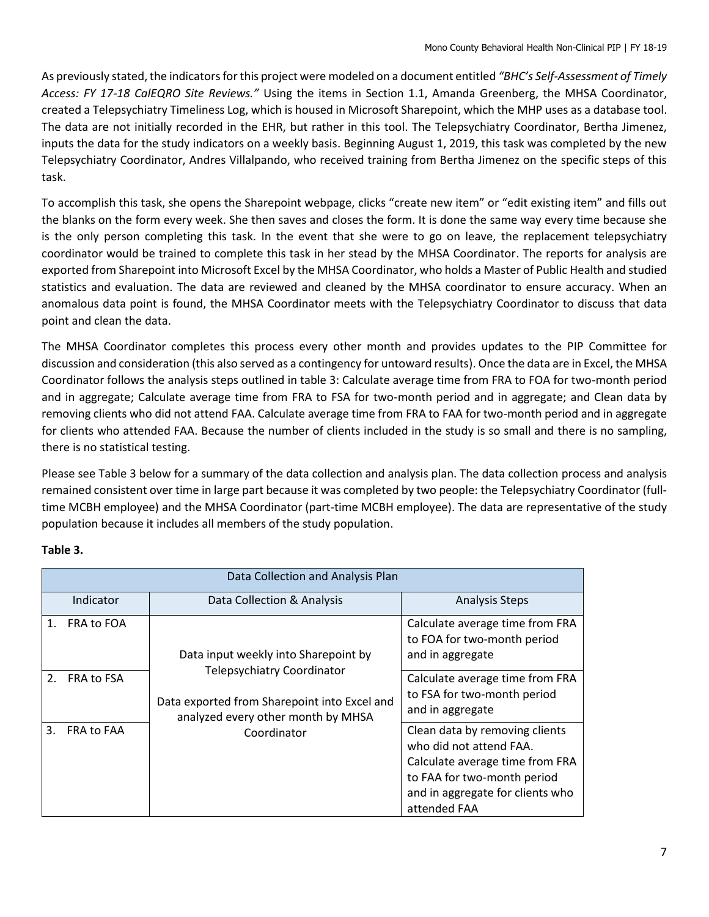As previously stated, the indicatorsfor this project were modeled on a document entitled *"BHC's Self-Assessment of Timely Access: FY 17-18 CalEQRO Site Reviews."* Using the items in Section 1.1, Amanda Greenberg, the MHSA Coordinator, created a Telepsychiatry Timeliness Log, which is housed in Microsoft Sharepoint, which the MHP uses as a database tool. The data are not initially recorded in the EHR, but rather in this tool. The Telepsychiatry Coordinator, Bertha Jimenez, inputs the data for the study indicators on a weekly basis. Beginning August 1, 2019, this task was completed by the new Telepsychiatry Coordinator, Andres Villalpando, who received training from Bertha Jimenez on the specific steps of this task.

To accomplish this task, she opens the Sharepoint webpage, clicks "create new item" or "edit existing item" and fills out the blanks on the form every week. She then saves and closes the form. It is done the same way every time because she is the only person completing this task. In the event that she were to go on leave, the replacement telepsychiatry coordinator would be trained to complete this task in her stead by the MHSA Coordinator. The reports for analysis are exported from Sharepoint into Microsoft Excel by the MHSA Coordinator, who holds a Master of Public Health and studied statistics and evaluation. The data are reviewed and cleaned by the MHSA coordinator to ensure accuracy. When an anomalous data point is found, the MHSA Coordinator meets with the Telepsychiatry Coordinator to discuss that data point and clean the data.

The MHSA Coordinator completes this process every other month and provides updates to the PIP Committee for discussion and consideration (this also served as a contingency for untoward results). Once the data are in Excel, the MHSA Coordinator follows the analysis steps outlined in table 3: Calculate average time from FRA to FOA for two-month period and in aggregate; Calculate average time from FRA to FSA for two-month period and in aggregate; and Clean data by removing clients who did not attend FAA. Calculate average time from FRA to FAA for two-month period and in aggregate for clients who attended FAA. Because the number of clients included in the study is so small and there is no sampling, there is no statistical testing.

Please see Table 3 below for a summary of the data collection and analysis plan. The data collection process and analysis remained consistent over time in large part because it was completed by two people: the Telepsychiatry Coordinator (fulltime MCBH employee) and the MHSA Coordinator (part-time MCBH employee). The data are representative of the study population because it includes all members of the study population.

|    | Data Collection and Analysis Plan |                                                                                                                         |                                                                                                                                                                                 |  |  |  |  |
|----|-----------------------------------|-------------------------------------------------------------------------------------------------------------------------|---------------------------------------------------------------------------------------------------------------------------------------------------------------------------------|--|--|--|--|
|    | Indicator                         | Data Collection & Analysis                                                                                              | <b>Analysis Steps</b>                                                                                                                                                           |  |  |  |  |
| 1. | FRA to FOA                        | Data input weekly into Sharepoint by                                                                                    | Calculate average time from FRA<br>to FOA for two-month period<br>and in aggregate                                                                                              |  |  |  |  |
|    | 2. FRA to FSA                     | <b>Telepsychiatry Coordinator</b><br>Data exported from Sharepoint into Excel and<br>analyzed every other month by MHSA | Calculate average time from FRA<br>to FSA for two-month period<br>and in aggregate                                                                                              |  |  |  |  |
| 3. | <b>FRA to FAA</b>                 | Coordinator                                                                                                             | Clean data by removing clients<br>who did not attend FAA.<br>Calculate average time from FRA<br>to FAA for two-month period<br>and in aggregate for clients who<br>attended FAA |  |  |  |  |

# **Table 3.**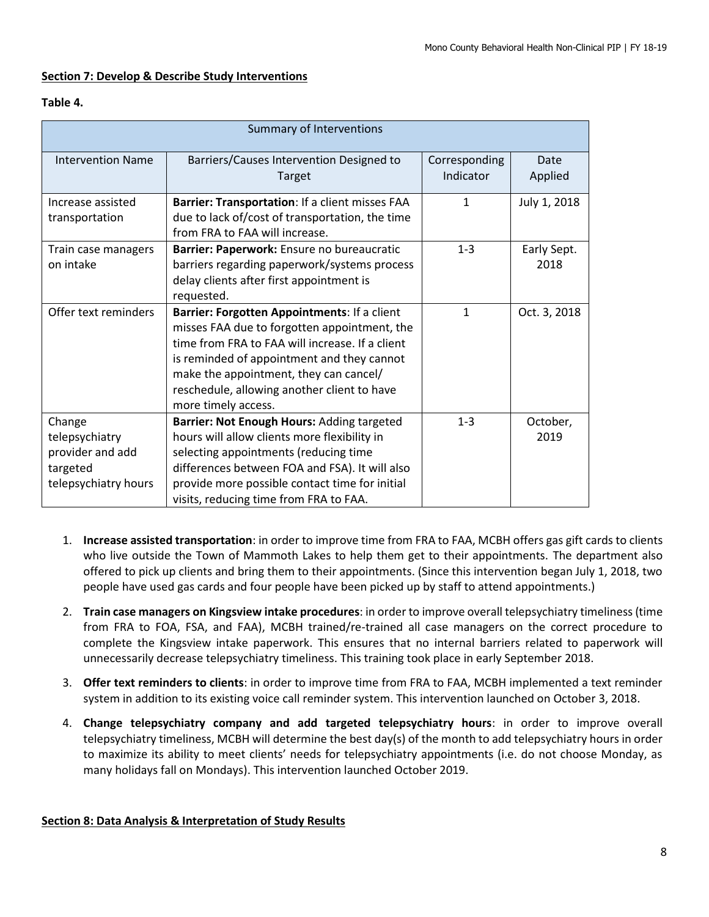### **Section 7: Develop & Describe Study Interventions**

### **Table 4.**

| Summary of Interventions                                                         |                                                                                                                                                                                                                                                                                                               |                            |                     |  |  |  |
|----------------------------------------------------------------------------------|---------------------------------------------------------------------------------------------------------------------------------------------------------------------------------------------------------------------------------------------------------------------------------------------------------------|----------------------------|---------------------|--|--|--|
| <b>Intervention Name</b>                                                         | Barriers/Causes Intervention Designed to<br>Target                                                                                                                                                                                                                                                            | Corresponding<br>Indicator | Date<br>Applied     |  |  |  |
| Increase assisted<br>transportation                                              | Barrier: Transportation: If a client misses FAA<br>due to lack of/cost of transportation, the time<br>from FRA to FAA will increase.                                                                                                                                                                          | 1                          | July 1, 2018        |  |  |  |
| Train case managers<br>on intake                                                 | Barrier: Paperwork: Ensure no bureaucratic<br>barriers regarding paperwork/systems process<br>delay clients after first appointment is<br>requested.                                                                                                                                                          | $1 - 3$                    | Early Sept.<br>2018 |  |  |  |
| Offer text reminders                                                             | Barrier: Forgotten Appointments: If a client<br>misses FAA due to forgotten appointment, the<br>time from FRA to FAA will increase. If a client<br>is reminded of appointment and they cannot<br>make the appointment, they can cancel/<br>reschedule, allowing another client to have<br>more timely access. | 1                          | Oct. 3, 2018        |  |  |  |
| Change<br>telepsychiatry<br>provider and add<br>targeted<br>telepsychiatry hours | Barrier: Not Enough Hours: Adding targeted<br>hours will allow clients more flexibility in<br>selecting appointments (reducing time<br>differences between FOA and FSA). It will also<br>provide more possible contact time for initial<br>visits, reducing time from FRA to FAA.                             | $1 - 3$                    | October,<br>2019    |  |  |  |

- 1. **Increase assisted transportation**: in order to improve time from FRA to FAA, MCBH offers gas gift cards to clients who live outside the Town of Mammoth Lakes to help them get to their appointments. The department also offered to pick up clients and bring them to their appointments. (Since this intervention began July 1, 2018, two people have used gas cards and four people have been picked up by staff to attend appointments.)
- 2. **Train case managers on Kingsview intake procedures**: in order to improve overall telepsychiatry timeliness (time from FRA to FOA, FSA, and FAA), MCBH trained/re-trained all case managers on the correct procedure to complete the Kingsview intake paperwork. This ensures that no internal barriers related to paperwork will unnecessarily decrease telepsychiatry timeliness. This training took place in early September 2018.
- 3. **Offer text reminders to clients**: in order to improve time from FRA to FAA, MCBH implemented a text reminder system in addition to its existing voice call reminder system. This intervention launched on October 3, 2018.
- 4. **Change telepsychiatry company and add targeted telepsychiatry hours**: in order to improve overall telepsychiatry timeliness, MCBH will determine the best day(s) of the month to add telepsychiatry hours in order to maximize its ability to meet clients' needs for telepsychiatry appointments (i.e. do not choose Monday, as many holidays fall on Mondays). This intervention launched October 2019.

### **Section 8: Data Analysis & Interpretation of Study Results**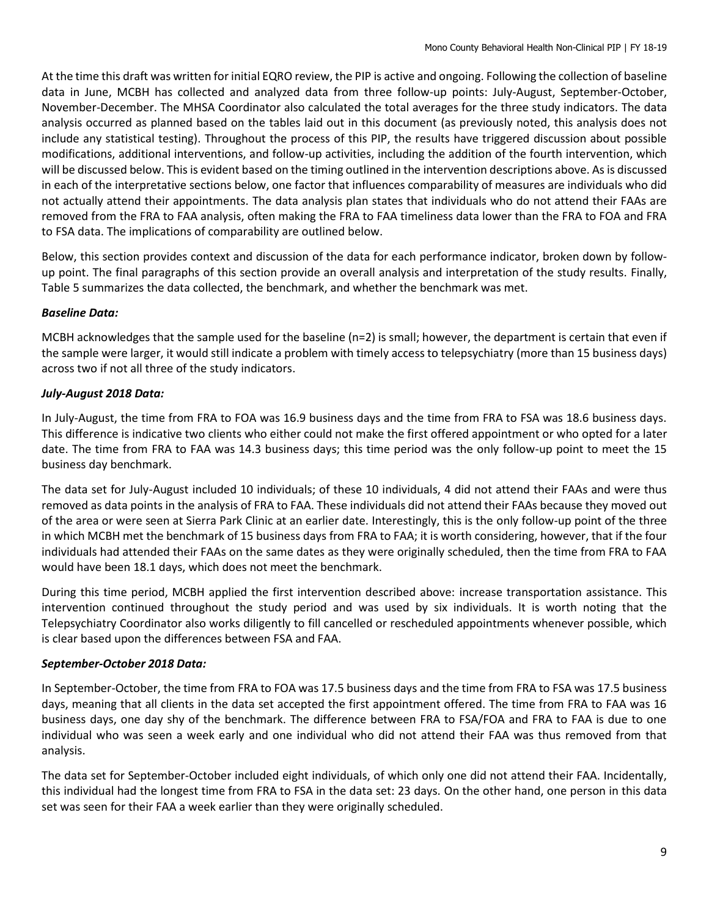At the time this draft was written for initial EQRO review, the PIP is active and ongoing. Following the collection of baseline data in June, MCBH has collected and analyzed data from three follow-up points: July-August, September-October, November-December. The MHSA Coordinator also calculated the total averages for the three study indicators. The data analysis occurred as planned based on the tables laid out in this document (as previously noted, this analysis does not include any statistical testing). Throughout the process of this PIP, the results have triggered discussion about possible modifications, additional interventions, and follow-up activities, including the addition of the fourth intervention, which will be discussed below. This is evident based on the timing outlined in the intervention descriptions above. As is discussed in each of the interpretative sections below, one factor that influences comparability of measures are individuals who did not actually attend their appointments. The data analysis plan states that individuals who do not attend their FAAs are removed from the FRA to FAA analysis, often making the FRA to FAA timeliness data lower than the FRA to FOA and FRA to FSA data. The implications of comparability are outlined below.

Below, this section provides context and discussion of the data for each performance indicator, broken down by followup point. The final paragraphs of this section provide an overall analysis and interpretation of the study results. Finally, Table 5 summarizes the data collected, the benchmark, and whether the benchmark was met.

# *Baseline Data:*

MCBH acknowledges that the sample used for the baseline (n=2) is small; however, the department is certain that even if the sample were larger, it would still indicate a problem with timely access to telepsychiatry (more than 15 business days) across two if not all three of the study indicators.

### *July-August 2018 Data:*

In July-August, the time from FRA to FOA was 16.9 business days and the time from FRA to FSA was 18.6 business days. This difference is indicative two clients who either could not make the first offered appointment or who opted for a later date. The time from FRA to FAA was 14.3 business days; this time period was the only follow-up point to meet the 15 business day benchmark.

The data set for July-August included 10 individuals; of these 10 individuals, 4 did not attend their FAAs and were thus removed as data points in the analysis of FRA to FAA. These individuals did not attend their FAAs because they moved out of the area or were seen at Sierra Park Clinic at an earlier date. Interestingly, this is the only follow-up point of the three in which MCBH met the benchmark of 15 business days from FRA to FAA; it is worth considering, however, that if the four individuals had attended their FAAs on the same dates as they were originally scheduled, then the time from FRA to FAA would have been 18.1 days, which does not meet the benchmark.

During this time period, MCBH applied the first intervention described above: increase transportation assistance. This intervention continued throughout the study period and was used by six individuals. It is worth noting that the Telepsychiatry Coordinator also works diligently to fill cancelled or rescheduled appointments whenever possible, which is clear based upon the differences between FSA and FAA.

### *September-October 2018 Data:*

In September-October, the time from FRA to FOA was 17.5 business days and the time from FRA to FSA was 17.5 business days, meaning that all clients in the data set accepted the first appointment offered. The time from FRA to FAA was 16 business days, one day shy of the benchmark. The difference between FRA to FSA/FOA and FRA to FAA is due to one individual who was seen a week early and one individual who did not attend their FAA was thus removed from that analysis.

The data set for September-October included eight individuals, of which only one did not attend their FAA. Incidentally, this individual had the longest time from FRA to FSA in the data set: 23 days. On the other hand, one person in this data set was seen for their FAA a week earlier than they were originally scheduled.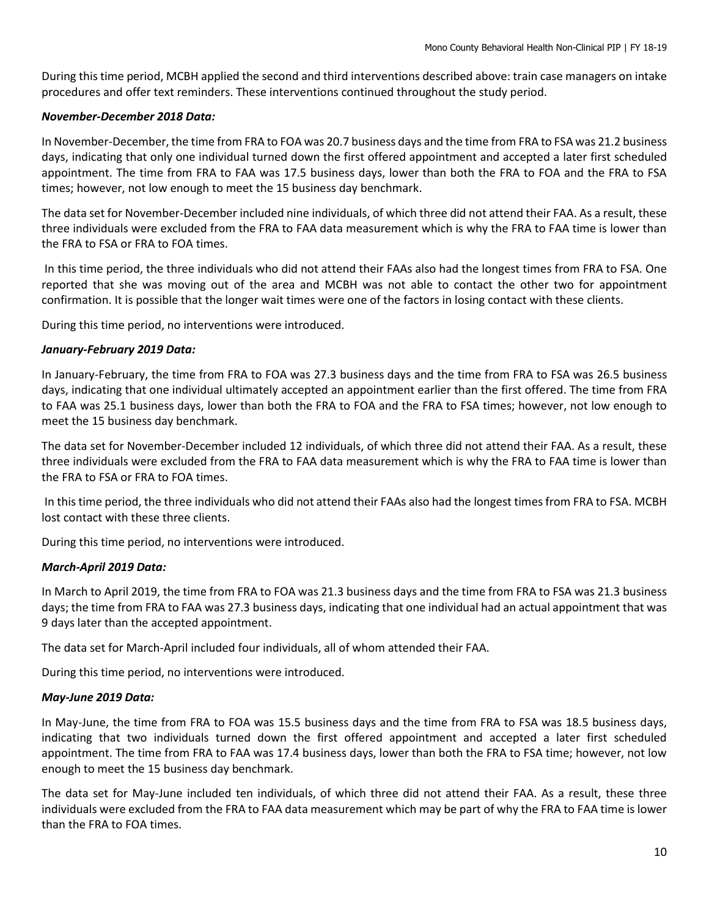During this time period, MCBH applied the second and third interventions described above: train case managers on intake procedures and offer text reminders. These interventions continued throughout the study period.

### *November-December 2018 Data:*

In November-December, the time from FRA to FOA was 20.7 business days and the time from FRA to FSA was 21.2 business days, indicating that only one individual turned down the first offered appointment and accepted a later first scheduled appointment. The time from FRA to FAA was 17.5 business days, lower than both the FRA to FOA and the FRA to FSA times; however, not low enough to meet the 15 business day benchmark.

The data set for November-December included nine individuals, of which three did not attend their FAA. As a result, these three individuals were excluded from the FRA to FAA data measurement which is why the FRA to FAA time is lower than the FRA to FSA or FRA to FOA times.

In this time period, the three individuals who did not attend their FAAs also had the longest times from FRA to FSA. One reported that she was moving out of the area and MCBH was not able to contact the other two for appointment confirmation. It is possible that the longer wait times were one of the factors in losing contact with these clients.

During this time period, no interventions were introduced.

### *January-February 2019 Data:*

In January-February, the time from FRA to FOA was 27.3 business days and the time from FRA to FSA was 26.5 business days, indicating that one individual ultimately accepted an appointment earlier than the first offered. The time from FRA to FAA was 25.1 business days, lower than both the FRA to FOA and the FRA to FSA times; however, not low enough to meet the 15 business day benchmark.

The data set for November-December included 12 individuals, of which three did not attend their FAA. As a result, these three individuals were excluded from the FRA to FAA data measurement which is why the FRA to FAA time is lower than the FRA to FSA or FRA to FOA times.

In this time period, the three individuals who did not attend their FAAs also had the longest times from FRA to FSA. MCBH lost contact with these three clients.

During this time period, no interventions were introduced.

### *March-April 2019 Data:*

In March to April 2019, the time from FRA to FOA was 21.3 business days and the time from FRA to FSA was 21.3 business days; the time from FRA to FAA was 27.3 business days, indicating that one individual had an actual appointment that was 9 days later than the accepted appointment.

The data set for March-April included four individuals, all of whom attended their FAA.

During this time period, no interventions were introduced.

### *May-June 2019 Data:*

In May-June, the time from FRA to FOA was 15.5 business days and the time from FRA to FSA was 18.5 business days, indicating that two individuals turned down the first offered appointment and accepted a later first scheduled appointment. The time from FRA to FAA was 17.4 business days, lower than both the FRA to FSA time; however, not low enough to meet the 15 business day benchmark.

The data set for May-June included ten individuals, of which three did not attend their FAA. As a result, these three individuals were excluded from the FRA to FAA data measurement which may be part of why the FRA to FAA time is lower than the FRA to FOA times.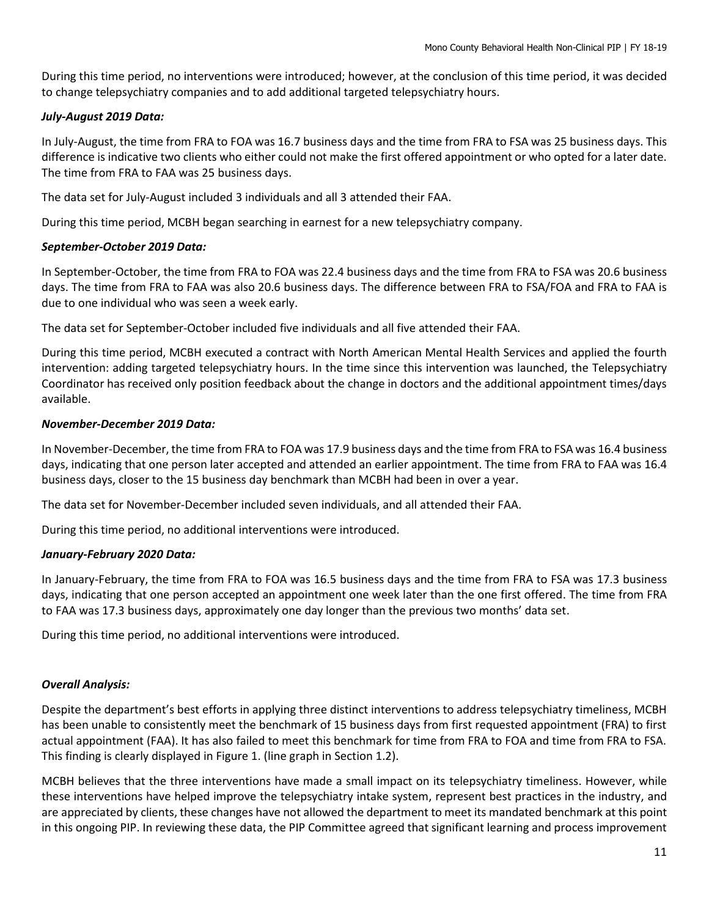During this time period, no interventions were introduced; however, at the conclusion of this time period, it was decided to change telepsychiatry companies and to add additional targeted telepsychiatry hours.

### *July-August 2019 Data:*

In July-August, the time from FRA to FOA was 16.7 business days and the time from FRA to FSA was 25 business days. This difference is indicative two clients who either could not make the first offered appointment or who opted for a later date. The time from FRA to FAA was 25 business days.

The data set for July-August included 3 individuals and all 3 attended their FAA.

During this time period, MCBH began searching in earnest for a new telepsychiatry company.

### *September-October 2019 Data:*

In September-October, the time from FRA to FOA was 22.4 business days and the time from FRA to FSA was 20.6 business days. The time from FRA to FAA was also 20.6 business days. The difference between FRA to FSA/FOA and FRA to FAA is due to one individual who was seen a week early.

The data set for September-October included five individuals and all five attended their FAA.

During this time period, MCBH executed a contract with North American Mental Health Services and applied the fourth intervention: adding targeted telepsychiatry hours. In the time since this intervention was launched, the Telepsychiatry Coordinator has received only position feedback about the change in doctors and the additional appointment times/days available.

### *November-December 2019 Data:*

In November-December, the time from FRA to FOA was 17.9 business days and the time from FRA to FSA was 16.4 business days, indicating that one person later accepted and attended an earlier appointment. The time from FRA to FAA was 16.4 business days, closer to the 15 business day benchmark than MCBH had been in over a year.

The data set for November-December included seven individuals, and all attended their FAA.

During this time period, no additional interventions were introduced.

# *January-February 2020 Data:*

In January-February, the time from FRA to FOA was 16.5 business days and the time from FRA to FSA was 17.3 business days, indicating that one person accepted an appointment one week later than the one first offered. The time from FRA to FAA was 17.3 business days, approximately one day longer than the previous two months' data set.

During this time period, no additional interventions were introduced.

# *Overall Analysis:*

Despite the department's best efforts in applying three distinct interventions to address telepsychiatry timeliness, MCBH has been unable to consistently meet the benchmark of 15 business days from first requested appointment (FRA) to first actual appointment (FAA). It has also failed to meet this benchmark for time from FRA to FOA and time from FRA to FSA. This finding is clearly displayed in Figure 1. (line graph in Section 1.2).

MCBH believes that the three interventions have made a small impact on its telepsychiatry timeliness. However, while these interventions have helped improve the telepsychiatry intake system, represent best practices in the industry, and are appreciated by clients, these changes have not allowed the department to meet its mandated benchmark at this point in this ongoing PIP. In reviewing these data, the PIP Committee agreed that significant learning and process improvement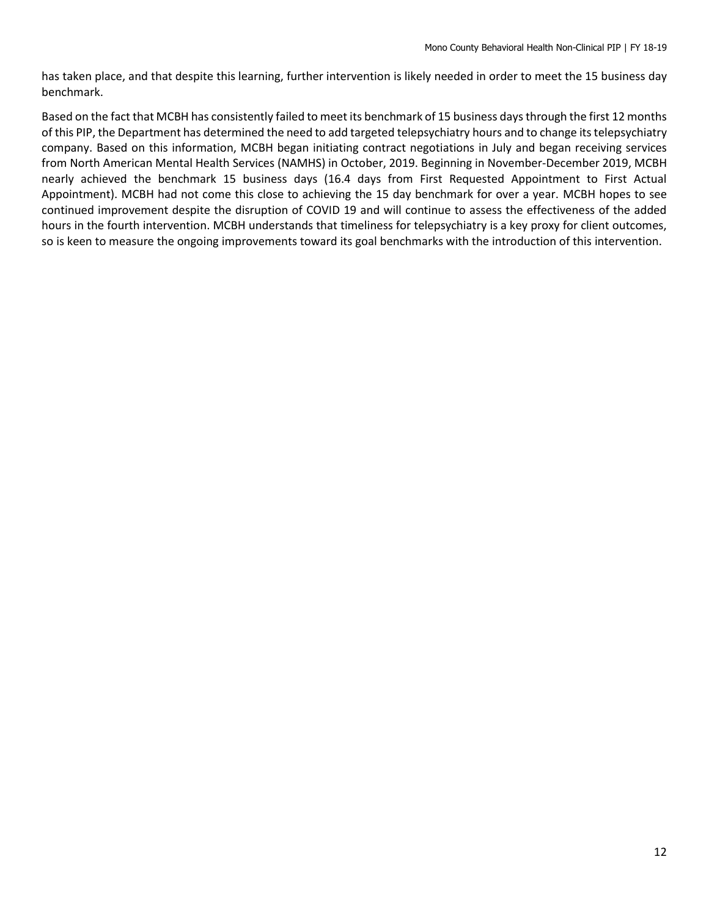has taken place, and that despite this learning, further intervention is likely needed in order to meet the 15 business day benchmark.

Based on the fact that MCBH has consistently failed to meet its benchmark of 15 business days through the first 12 months of this PIP, the Department has determined the need to add targeted telepsychiatry hours and to change its telepsychiatry company. Based on this information, MCBH began initiating contract negotiations in July and began receiving services from North American Mental Health Services (NAMHS) in October, 2019. Beginning in November-December 2019, MCBH nearly achieved the benchmark 15 business days (16.4 days from First Requested Appointment to First Actual Appointment). MCBH had not come this close to achieving the 15 day benchmark for over a year. MCBH hopes to see continued improvement despite the disruption of COVID 19 and will continue to assess the effectiveness of the added hours in the fourth intervention. MCBH understands that timeliness for telepsychiatry is a key proxy for client outcomes, so is keen to measure the ongoing improvements toward its goal benchmarks with the introduction of this intervention.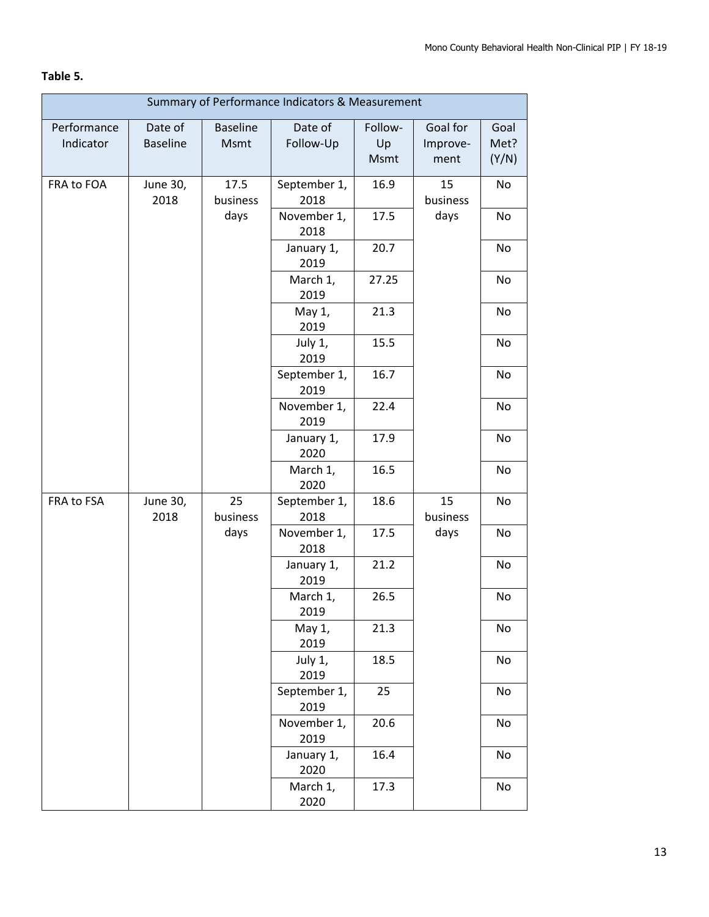# **Table 5.**

| Summary of Performance Indicators & Measurement |                            |                         |                      |                       |                              |                       |
|-------------------------------------------------|----------------------------|-------------------------|----------------------|-----------------------|------------------------------|-----------------------|
| Performance<br>Indicator                        | Date of<br><b>Baseline</b> | <b>Baseline</b><br>Msmt | Date of<br>Follow-Up | Follow-<br>Up<br>Msmt | Goal for<br>Improve-<br>ment | Goal<br>Met?<br>(Y/N) |
| FRA to FOA                                      | June 30,<br>2018           | 17.5<br>business        | September 1,<br>2018 | 16.9                  | 15<br>business               | No                    |
|                                                 |                            | days                    | November 1,<br>2018  | 17.5                  | days                         | No                    |
|                                                 |                            |                         | January 1,<br>2019   | 20.7                  |                              | No                    |
|                                                 |                            |                         | March 1,<br>2019     | 27.25                 |                              | No                    |
|                                                 |                            |                         | May 1,<br>2019       | 21.3                  |                              | No                    |
|                                                 |                            |                         | July 1,<br>2019      | 15.5                  |                              | No                    |
|                                                 |                            |                         | September 1,<br>2019 | 16.7                  |                              | No                    |
|                                                 |                            |                         | November 1,<br>2019  | 22.4                  |                              | No                    |
|                                                 |                            |                         | January 1,<br>2020   | 17.9                  |                              | No                    |
|                                                 |                            |                         | March 1,<br>2020     | 16.5                  |                              | No                    |
| FRA to FSA                                      | June 30,<br>2018           | 25<br>business          | September 1,<br>2018 | 18.6                  | 15<br>business               | No                    |
|                                                 |                            | days                    | November 1,<br>2018  | 17.5                  | days                         | No                    |
|                                                 |                            |                         | January 1,<br>2019   | 21.2                  |                              | No                    |
|                                                 |                            |                         | March 1,<br>2019     | 26.5                  |                              | No                    |
|                                                 |                            |                         | May 1,<br>2019       | 21.3                  |                              | No                    |
|                                                 |                            |                         | July 1,<br>2019      | 18.5                  |                              | No                    |
|                                                 |                            |                         | September 1,<br>2019 | 25                    |                              | No                    |
|                                                 |                            |                         | November 1,<br>2019  | 20.6                  |                              | No                    |
|                                                 |                            |                         | January 1,<br>2020   | 16.4                  |                              | No                    |
|                                                 |                            |                         | March 1,<br>2020     | 17.3                  |                              | No                    |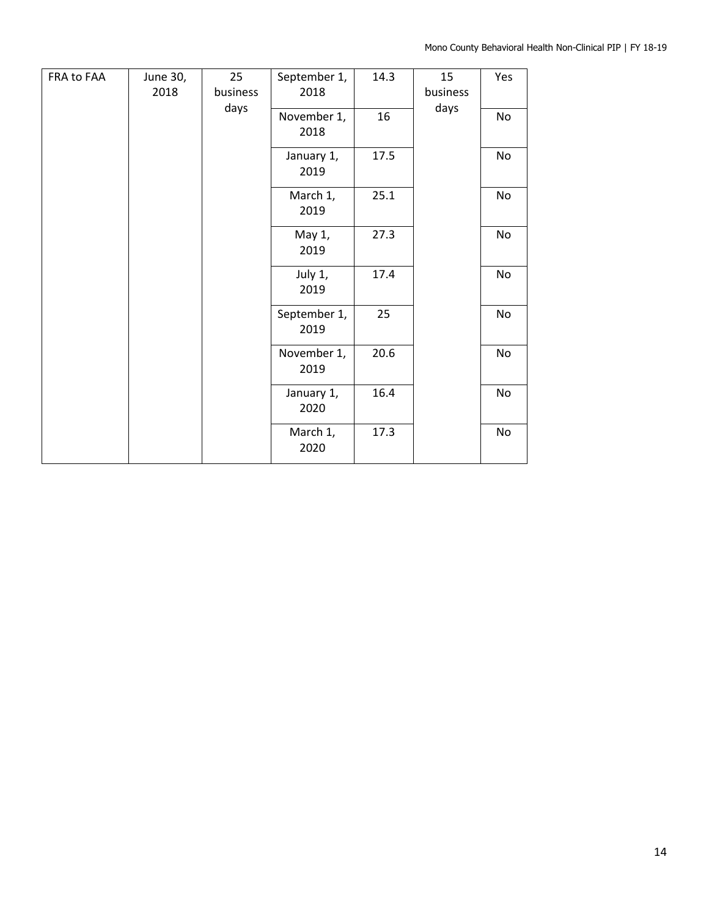| FRA to FAA | June 30,<br>2018 | 25<br>business | September 1,<br>2018 | 14.3 | 15<br>business | Yes |
|------------|------------------|----------------|----------------------|------|----------------|-----|
|            |                  | days           | November 1,<br>2018  | 16   | days           | No  |
|            |                  |                | January 1,<br>2019   | 17.5 |                | No  |
|            |                  |                | March 1,<br>2019     | 25.1 |                | No  |
|            |                  |                | May 1,<br>2019       | 27.3 |                | No  |
|            |                  |                | July 1,<br>2019      | 17.4 |                | No  |
|            |                  |                | September 1,<br>2019 | 25   |                | No  |
|            |                  |                | November 1,<br>2019  | 20.6 |                | No  |
|            |                  |                | January 1,<br>2020   | 16.4 |                | No  |
|            |                  |                | March 1,<br>2020     | 17.3 |                | No  |